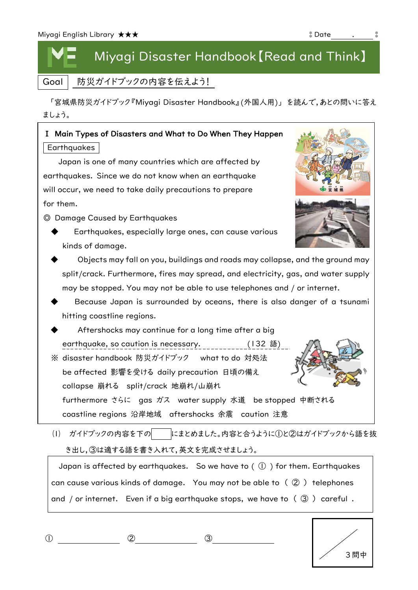## Miyagi Disaster Handbook【Read and Think】

Goal | 防災ガイドブックの内容を伝えよう!

 「宮城県防災ガイドブック『Miyagi Disaster Handbook』(外国人用)」 を読んで,あとの問いに答え ましょう。

## Ⅰ Main Types of Disasters and What to Do When They Happen **Earthquakes**

Japan is one of many countries which are affected by earthquakes. Since we do not know when an earthquake will occur, we need to take daily precautions to prepare for them.

◎ Damage Caused by Earthquakes

- Earthquakes, especially large ones, can cause various kinds of damage.
- Objects may fall on you, buildings and roads may collapse, and the ground may split/crack. Furthermore, fires may spread, and electricity, gas, and water supply may be stopped. You may not be able to use telephones and / or internet.
- hitting coastline regions. The comparation of  $\mathcal{C}$ Because Japan is surrounded by oceans, there is also danger of a tsunami
- $\blacklozenge$  Aftershocks may continue for a long time after a big earthquake, so caution is necessary. \_\_\_\_\_\_\_\_\_\_(132 語)

※ disaster handbook 防災ガイドブック what to do 対処法 be affected 影響を受ける daily precaution 日頃の備え furthermore さらに gas ガス water supply 水道 be stopped 中断される collapse 崩れる split/crack 地崩れ/山崩れ

(1) ガイドブックの内容を下の にまとめました。内容と合うように①と②はガイドブックから語を抜 coastline regions 沿岸地域 aftershocks 余震 caution 注意

き出し,③は適する語を書き入れて,英文を完成させましょう。

Japan is affected by earthquakes. So we have to  $( \bigcirc )$  for them. Earthquakes can cause various kinds of damage. You may not be able to ( ② ) telephones and / or internet. Even if a big earthquake stops, we have to  $( \mathcal{F} )$  careful.

|--|--|





| 3問中 |
|-----|